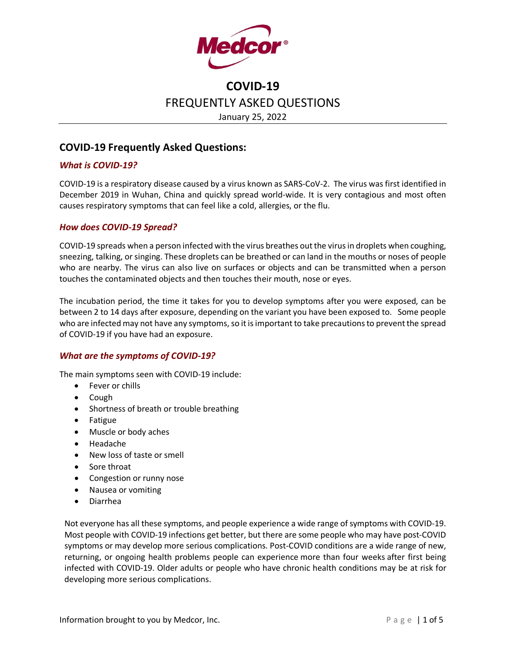

## **COVID-19 Frequently Asked Questions:**

### *What is COVID-19?*

COVID-19 is a respiratory disease caused by a virus known as SARS-CoV-2. The virus was first identified in December 2019 in Wuhan, China and quickly spread world-wide. It is very contagious and most often causes respiratory symptoms that can feel like a cold, allergies, or the flu.

#### *How does COVID-19 Spread?*

COVID-19 spreads when a person infected with the virus breathes out the virus in droplets when coughing, sneezing, talking, or singing. These droplets can be breathed or can land in the mouths or noses of people who are nearby. The virus can also live on surfaces or objects and can be transmitted when a person touches the contaminated objects and then touches their mouth, nose or eyes.

The incubation period, the time it takes for you to develop symptoms after you were exposed, can be between 2 to 14 days after exposure, depending on the variant you have been exposed to. Some people who are infected may not have any symptoms, so it is important to take precautionsto prevent the spread of COVID-19 if you have had an exposure.

### *What are the symptoms of COVID-19?*

The main symptoms seen with COVID-19 include:

- Fever or chills
- Cough
- Shortness of breath or trouble breathing
- Fatigue
- Muscle or body aches
- Headache
- New loss of taste or smell
- Sore throat
- Congestion or runny nose
- Nausea or vomiting
- Diarrhea

Not everyone has all these symptoms, and people experience a wide range of symptoms with COVID-19. Most people with COVID-19 infections get better, but there are some people who may have post-COVID symptoms or may develop more serious complications. Post-COVID conditions are a wide range of new, returning, or ongoing health problems people can experience more than four weeks after first being infected with COVID-19. Older adults or people who have chronic health conditions may be at risk for developing more serious complications.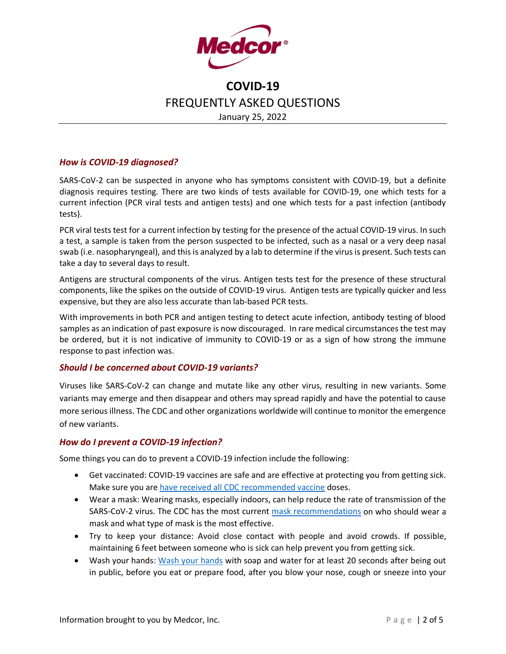

### *How is COVID-19 diagnosed?*

SARS-CoV-2 can be suspected in anyone who has symptoms consistent with COVID-19, but a definite diagnosis requires testing. There are two kinds of tests available for COVID-19, one which tests for a current infection (PCR viral tests and antigen tests) and one which tests for a past infection (antibody tests).

PCR viral tests test for a current infection by testing for the presence of the actual COVID-19 virus. In such a test, a sample is taken from the person suspected to be infected, such as a nasal or a very deep nasal swab (i.e. nasopharyngeal), and this is analyzed by a lab to determine if the virus is present. Such tests can take a day to several days to result.

Antigens are structural components of the virus. Antigen tests test for the presence of these structural components, like the spikes on the outside of COVID-19 virus. Antigen tests are typically quicker and less expensive, but they are also less accurate than lab-based PCR tests.

With improvements in both PCR and antigen testing to detect acute infection, antibody testing of blood samples as an indication of past exposure is now discouraged. In rare medical circumstances the test may be ordered, but it is not indicative of immunity to COVID-19 or as a sign of how strong the immune response to past infection was.

#### *Should I be concerned about COVID-19 variants?*

Viruses like SARS-CoV-2 can change and mutate like any other virus, resulting in new variants. Some variants may emerge and then disappear and others may spread rapidly and have the potential to cause more serious illness. The CDC and other organizations worldwide will continue to monitor the emergence of new variants.

#### *How do I prevent a COVID-19 infection?*

Some things you can do to prevent a COVID-19 infection include the following:

- Get vaccinated: COVID-19 vaccines are safe and are effective at protecting you from getting sick. Make sure you are [have received all CDC recommended vaccine](https://www.cdc.gov/coronavirus/2019-ncov/vaccines/stay-up-to-date.html?CDC_AA_refVal=https%3A%2F%2Fwww.cdc.gov%2Fcoronavirus%2F2019-ncov%2Fvaccines%2Ffully-vaccinated.html) doses.
- Wear a mask: Wearing masks, especially indoors, can help reduce the rate of transmission of the SARS-CoV-2 virus. The CDC has the most current [mask recommendations](https://www.cdc.gov/coronavirus/2019-ncov/prevent-getting-sick/masks.html?CDC_AA_refVal=https%3A%2F%2Fwww.cdc.gov%2Fcoronavirus%2F2019-ncov%2Fprevent-getting-sick%2Fdiy-cloth-face-coverings.html) on who should wear a mask and what type of mask is the most effective.
- Try to keep your distance: Avoid close contact with people and avoid crowds. If possible, maintaining 6 feet between someone who is sick can help prevent you from getting sick.
- • [Wash your hands](https://www.cdc.gov/handwashing/when-how-handwashing.html): Wash your hands with soap and water for at least 20 seconds after being out in public, before you eat or prepare food, after you blow your nose, cough or sneeze into your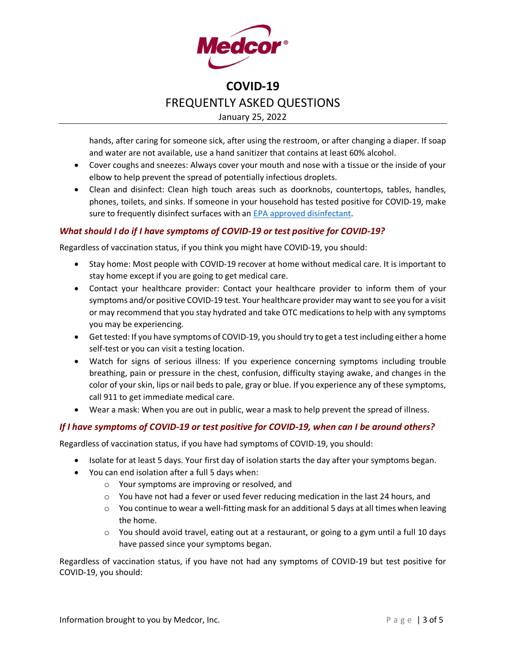

hands, after caring for someone sick, after using the restroom, or after changing a diaper. If soap and water are not available, use a hand sanitizer that contains at least 60% alcohol.

- Cover coughs and sneezes: Always cover your mouth and nose with a tissue or the inside of your elbow to help prevent the spread of potentially infectious droplets.
- Clean and disinfect: Clean high touch areas such as doorknobs, countertops, tables, handles, phones, toilets, and sinks. If someone in your household has tested positive for COVID-19, make sure to frequently disinfect surfaces with an [EPA approved disinfectant.](https://www.epa.gov/coronavirus/about-list-n-disinfectants-coronavirus-covid-19-0)

### *What should I do if I have symptoms of COVID-19 or test positive for COVID-19?*

Regardless of vaccination status, if you think you might have COVID-19, you should:

- Stay home: Most people with COVID-19 recover at home without medical care. It is important to stay home except if you are going to get medical care.
- Contact your healthcare provider: Contact your healthcare provider to inform them of your symptoms and/or positive COVID-19 test. Your healthcare provider may want to see you for a visit or may recommend that you stay hydrated and take OTC medications to help with any symptoms you may be experiencing.
- Get tested: If you have symptoms of COVID-19, you should try to get a test including either a home self-test or you can visit a testing location.
- Watch for signs of serious illness: If you experience concerning symptoms including trouble breathing, pain or pressure in the chest, confusion, difficulty staying awake, and changes in the color of your skin, lips or nail beds to pale, gray or blue. If you experience any of these symptoms, call 911 to get immediate medical care.
- Wear a mask: When you are out in public, wear a mask to help prevent the spread of illness.

#### *If I have symptoms of COVID-19 or test positive for COVID-19, when can I be around others?*

Regardless of vaccination status, if you have had symptoms of COVID-19, you should:

- Isolate for at least 5 days. Your first day of isolation starts the day after your symptoms began.
- You can end isolation after a full 5 days when:
	- o Your symptoms are improving or resolved, and
	- $\circ$  You have not had a fever or used fever reducing medication in the last 24 hours, and
	- $\circ$  You continue to wear a well-fitting mask for an additional 5 days at all times when leaving the home.
	- $\circ$  You should avoid travel, eating out at a restaurant, or going to a gym until a full 10 days have passed since your symptoms began.

Regardless of vaccination status, if you have not had any symptoms of COVID-19 but test positive for COVID-19, you should: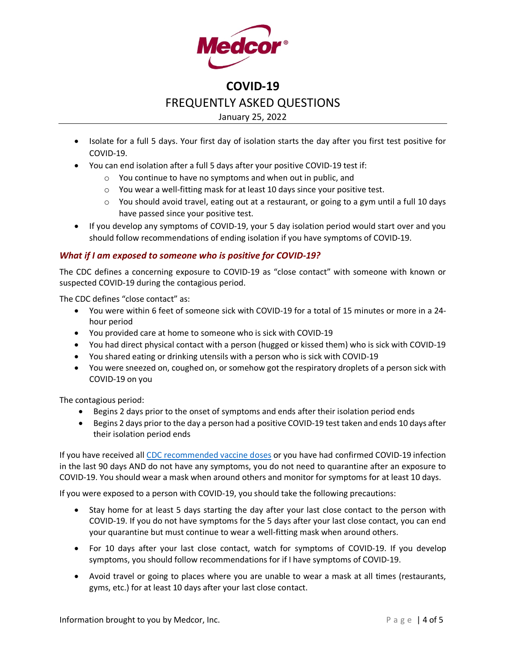

- Isolate for a full 5 days. Your first day of isolation starts the day after you first test positive for COVID-19.
- You can end isolation after a full 5 days after your positive COVID-19 test if:
	- o You continue to have no symptoms and when out in public, and
	- o You wear a well-fitting mask for at least 10 days since your positive test.
	- $\circ$  You should avoid travel, eating out at a restaurant, or going to a gym until a full 10 days have passed since your positive test.
- If you develop any symptoms of COVID-19, your 5 day isolation period would start over and you should follow recommendations of ending isolation if you have symptoms of COVID-19.

### *What if I am exposed to someone who is positive for COVID-19?*

The CDC defines a concerning exposure to COVID-19 as "close contact" with someone with known or suspected COVID-19 during the contagious period.

The CDC defines "close contact" as:

- You were within 6 feet of someone sick with COVID-19 for a total of 15 minutes or more in a 24 hour period
- You provided care at home to someone who is sick with COVID-19
- You had direct physical contact with a person (hugged or kissed them) who is sick with COVID-19
- You shared eating or drinking utensils with a person who is sick with COVID-19
- You were sneezed on, coughed on, or somehow got the respiratory droplets of a person sick with COVID-19 on you

The contagious period:

- Begins 2 days prior to the onset of symptoms and ends after their isolation period ends
- Begins 2 days prior to the day a person had a positive COVID-19 test taken and ends 10 days after their isolation period ends

If you have received all [CDC recommended vaccine doses](https://www.cdc.gov/coronavirus/2019-ncov/vaccines/booster-shot.html) or you have had confirmed COVID-19 infection in the last 90 days AND do not have any symptoms, you do not need to quarantine after an exposure to COVID-19. You should wear a mask when around others and monitor for symptoms for at least 10 days.

If you were exposed to a person with COVID-19, you should take the following precautions:

- Stay home for at least 5 days starting the day after your last close contact to the person with COVID-19. If you do not have symptoms for the 5 days after your last close contact, you can end your quarantine but must continue to wear a well-fitting mask when around others.
- For 10 days after your last close contact, watch for symptoms of COVID-19. If you develop symptoms, you should follow recommendations for if I have symptoms of COVID-19.
- Avoid travel or going to places where you are unable to wear a mask at all times (restaurants, gyms, etc.) for at least 10 days after your last close contact.